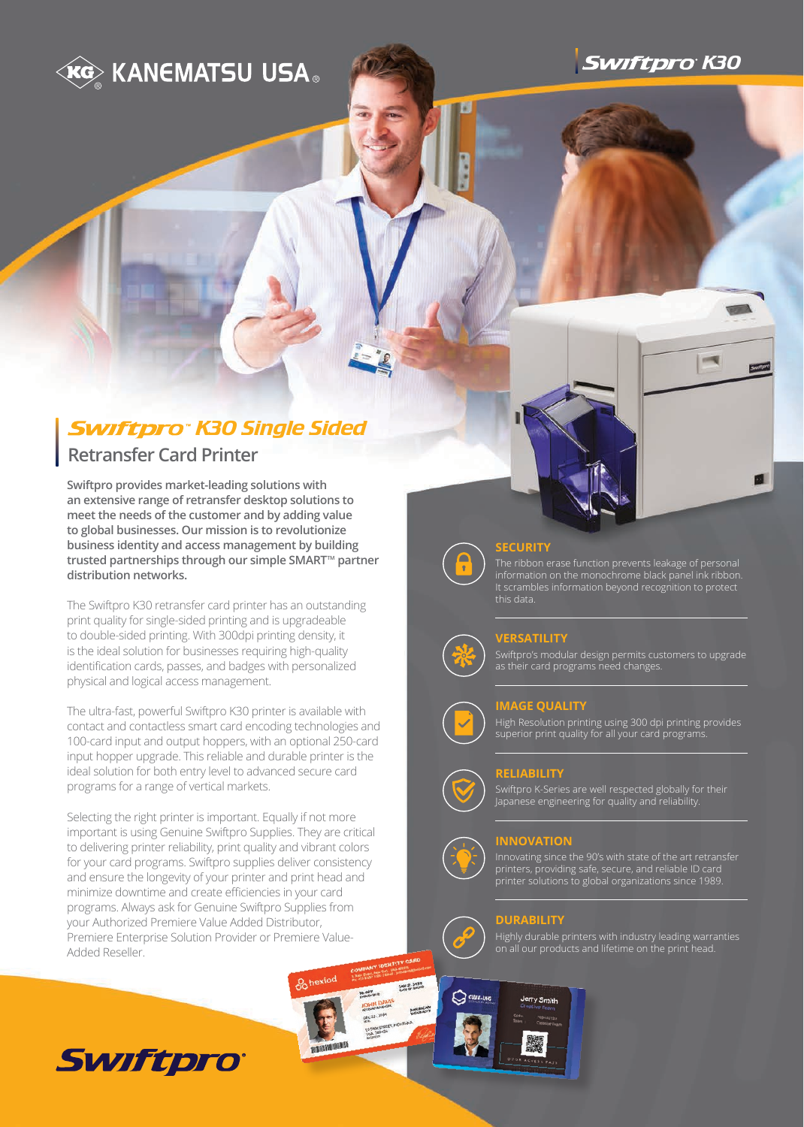**KG KANEMATSU USA .** 



## **Swiftpro<sup>®</sup> K30 Single Sided**

## **Retransfer Card Printer**

**Swiftpro provides market-leading solutions with an extensive range of retransfer desktop solutions to meet the needs of the customer and by adding value to global businesses. Our mission is to revolutionize business identity and access management by building**  trusted partnerships through our simple SMART<sup>™</sup> partner **distribution networks.**

The Swiftpro K30 retransfer card printer has an outstanding print quality for single-sided printing and is upgradeable to double-sided printing. With 300dpi printing density, it is the ideal solution for businesses requiring high-quality identification cards, passes, and badges with personalized physical and logical access management.

The ultra-fast, powerful Swiftpro K30 printer is available with contact and contactless smart card encoding technologies and 100-card input and output hoppers, with an optional 250-card input hopper upgrade. This reliable and durable printer is the ideal solution for both entry level to advanced secure card programs for a range of vertical markets.

Selecting the right printer is important. Equally if not more important is using Genuine Swiftpro Supplies. They are critical to delivering printer reliability, print quality and vibrant colors for your card programs. Swiftpro supplies deliver consistency and ensure the longevity of your printer and print head and minimize downtime and create efficiencies in your card programs. Always ask for Genuine Swiftpro Supplies from your Authorized Premiere Value Added Distributor, Premiere Enterprise Solution Provider or Premiere Value-Added Reseller.



## **SECURITY**

The ribbon erase function prevents leakage of personal information on the monochrome black panel ink ribbon. It scrambles information beyond recognition to protect this data.

## **VERSATILITY**

Swiftpro's modular design permits customers to upgrade as their card programs need changes.

## **IMAGE QUALITY**

High Resolution printing using 300 dpi printing provides superior print quality for all your card programs.

### **RELIABILITY**

Swiftpro K-Series are well respected globally for their Japanese engineering for quality and reliability.

#### **INNOVATION**

Innovating since the 90's with state of the art retransfer printers, providing safe, secure, and reliable ID card printer solutions to global organizations since 1989.

## **DURABILITY**

**JAN 21, 2050** 

 $\bigcirc$   $\alpha$ UBE-INC

Highly durable printers with industry leading warranties on all our products and lifetime on the print head.